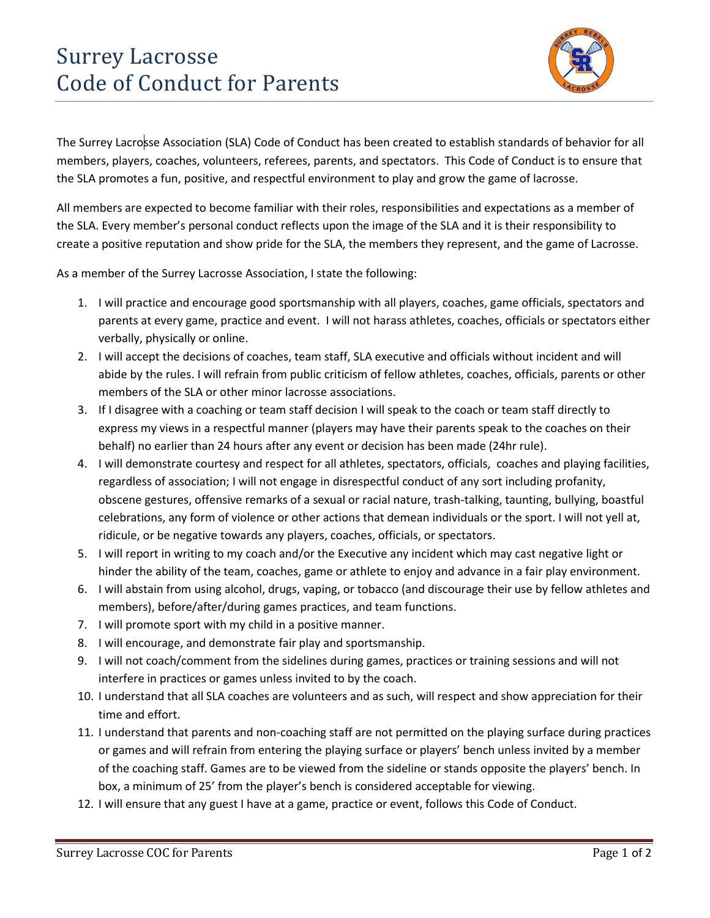## Surrey Lacrosse Code of Conduct for Parents



The Surrey Lacrosse Association (SLA) Code of Conduct has been created to establish standards of behavior for all members, players, coaches, volunteers, referees, parents, and spectators. This Code of Conduct is to ensure that the SLA promotes a fun, positive, and respectful environment to play and grow the game of lacrosse.

All members are expected to become familiar with their roles, responsibilities and expectations as a member of the SLA. Every member's personal conduct reflects upon the image of the SLA and it is their responsibility to create a positive reputation and show pride for the SLA, the members they represent, and the game of Lacrosse.

As a member of the Surrey Lacrosse Association, I state the following:

- 1. I will practice and encourage good sportsmanship with all players, coaches, game officials, spectators and parents at every game, practice and event. I will not harass athletes, coaches, officials or spectators either verbally, physically or online.
- 2. I will accept the decisions of coaches, team staff, SLA executive and officials without incident and will abide by the rules. I will refrain from public criticism of fellow athletes, coaches, officials, parents or other members of the SLA or other minor lacrosse associations.
- 3. If I disagree with a coaching or team staff decision I will speak to the coach or team staff directly to express my views in a respectful manner (players may have their parents speak to the coaches on their behalf) no earlier than 24 hours after any event or decision has been made (24hr rule).
- 4. I will demonstrate courtesy and respect for all athletes, spectators, officials, coaches and playing facilities, regardless of association; I will not engage in disrespectful conduct of any sort including profanity, obscene gestures, offensive remarks of a sexual or racial nature, trash-talking, taunting, bullying, boastful celebrations, any form of violence or other actions that demean individuals or the sport. I will not yell at, ridicule, or be negative towards any players, coaches, officials, or spectators.
- 5. I will report in writing to my coach and/or the Executive any incident which may cast negative light or hinder the ability of the team, coaches, game or athlete to enjoy and advance in a fair play environment.
- 6. I will abstain from using alcohol, drugs, vaping, or tobacco (and discourage their use by fellow athletes and members), before/after/during games practices, and team functions.
- 7. I will promote sport with my child in a positive manner.
- 8. I will encourage, and demonstrate fair play and sportsmanship.
- 9. I will not coach/comment from the sidelines during games, practices or training sessions and will not interfere in practices or games unless invited to by the coach.
- 10. I understand that all SLA coaches are volunteers and as such, will respect and show appreciation for their time and effort.
- 11. I understand that parents and non-coaching staff are not permitted on the playing surface during practices or games and will refrain from entering the playing surface or players' bench unless invited by a member of the coaching staff. Games are to be viewed from the sideline or stands opposite the players' bench. In box, a minimum of 25' from the player's bench is considered acceptable for viewing.
- 12. I will ensure that any guest I have at a game, practice or event, follows this Code of Conduct.